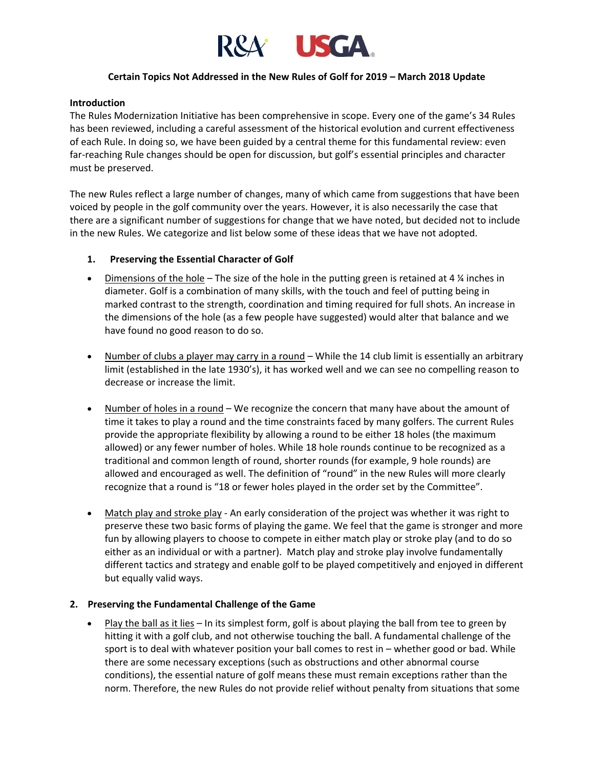

# **Certain Topics Not Addressed in the New Rules of Golf for 2019 – March 2018 Update**

# **Introduction**

The Rules Modernization Initiative has been comprehensive in scope. Every one of the game's 34 Rules has been reviewed, including a careful assessment of the historical evolution and current effectiveness of each Rule. In doing so, we have been guided by a central theme for this fundamental review: even far-reaching Rule changes should be open for discussion, but golf's essential principles and character must be preserved.

The new Rules reflect a large number of changes, many of which came from suggestions that have been voiced by people in the golf community over the years. However, it is also necessarily the case that there are a significant number of suggestions for change that we have noted, but decided not to include in the new Rules. We categorize and list below some of these ideas that we have not adopted.

# **1. Preserving the Essential Character of Golf**

- Dimensions of the hole The size of the hole in the putting green is retained at 4  $\frac{1}{4}$  inches in diameter. Golf is a combination of many skills, with the touch and feel of putting being in marked contrast to the strength, coordination and timing required for full shots. An increase in the dimensions of the hole (as a few people have suggested) would alter that balance and we have found no good reason to do so.
- Number of clubs a player may carry in a round While the 14 club limit is essentially an arbitrary limit (established in the late 1930's), it has worked well and we can see no compelling reason to decrease or increase the limit.
- Number of holes in a round We recognize the concern that many have about the amount of time it takes to play a round and the time constraints faced by many golfers. The current Rules provide the appropriate flexibility by allowing a round to be either 18 holes (the maximum allowed) or any fewer number of holes. While 18 hole rounds continue to be recognized as a traditional and common length of round, shorter rounds (for example, 9 hole rounds) are allowed and encouraged as well. The definition of "round" in the new Rules will more clearly recognize that a round is "18 or fewer holes played in the order set by the Committee".
- Match play and stroke play An early consideration of the project was whether it was right to preserve these two basic forms of playing the game. We feel that the game is stronger and more fun by allowing players to choose to compete in either match play or stroke play (and to do so either as an individual or with a partner). Match play and stroke play involve fundamentally different tactics and strategy and enable golf to be played competitively and enjoyed in different but equally valid ways.

# **2. Preserving the Fundamental Challenge of the Game**

• Play the ball as it lies – In its simplest form, golf is about playing the ball from tee to green by hitting it with a golf club, and not otherwise touching the ball. A fundamental challenge of the sport is to deal with whatever position your ball comes to rest in – whether good or bad. While there are some necessary exceptions (such as obstructions and other abnormal course conditions), the essential nature of golf means these must remain exceptions rather than the norm. Therefore, the new Rules do not provide relief without penalty from situations that some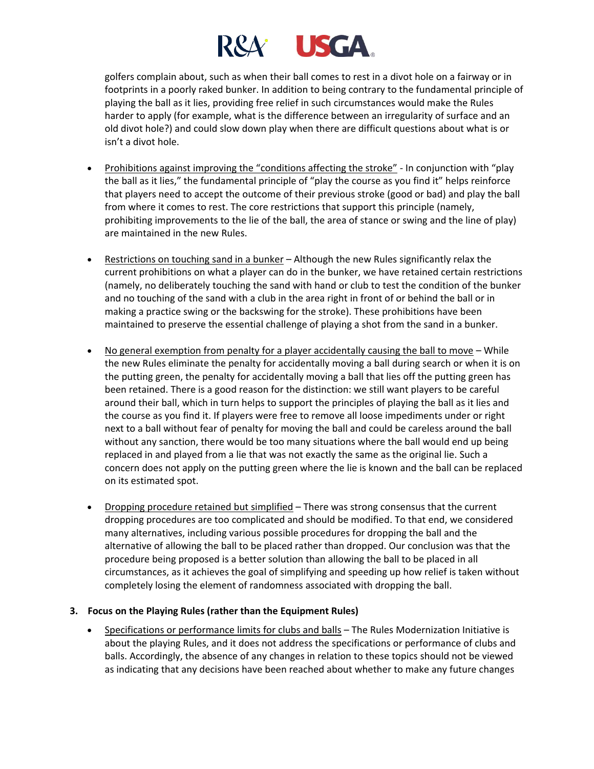

golfers complain about, such as when their ball comes to rest in a divot hole on a fairway or in footprints in a poorly raked bunker. In addition to being contrary to the fundamental principle of playing the ball as it lies, providing free relief in such circumstances would make the Rules harder to apply (for example, what is the difference between an irregularity of surface and an old divot hole?) and could slow down play when there are difficult questions about what is or isn't a divot hole.

- Prohibitions against improving the "conditions affecting the stroke" In conjunction with "play the ball as it lies," the fundamental principle of "play the course as you find it" helps reinforce that players need to accept the outcome of their previous stroke (good or bad) and play the ball from where it comes to rest. The core restrictions that support this principle (namely, prohibiting improvements to the lie of the ball, the area of stance or swing and the line of play) are maintained in the new Rules.
- Restrictions on touching sand in a bunker Although the new Rules significantly relax the current prohibitions on what a player can do in the bunker, we have retained certain restrictions (namely, no deliberately touching the sand with hand or club to test the condition of the bunker and no touching of the sand with a club in the area right in front of or behind the ball or in making a practice swing or the backswing for the stroke). These prohibitions have been maintained to preserve the essential challenge of playing a shot from the sand in a bunker.
- No general exemption from penalty for a player accidentally causing the ball to move While the new Rules eliminate the penalty for accidentally moving a ball during search or when it is on the putting green, the penalty for accidentally moving a ball that lies off the putting green has been retained. There is a good reason for the distinction: we still want players to be careful around their ball, which in turn helps to support the principles of playing the ball as it lies and the course as you find it. If players were free to remove all loose impediments under or right next to a ball without fear of penalty for moving the ball and could be careless around the ball without any sanction, there would be too many situations where the ball would end up being replaced in and played from a lie that was not exactly the same as the original lie. Such a concern does not apply on the putting green where the lie is known and the ball can be replaced on its estimated spot.
- Dropping procedure retained but simplified There was strong consensus that the current dropping procedures are too complicated and should be modified. To that end, we considered many alternatives, including various possible procedures for dropping the ball and the alternative of allowing the ball to be placed rather than dropped. Our conclusion was that the procedure being proposed is a better solution than allowing the ball to be placed in all circumstances, as it achieves the goal of simplifying and speeding up how relief is taken without completely losing the element of randomness associated with dropping the ball.

# **3. Focus on the Playing Rules (rather than the Equipment Rules)**

• Specifications or performance limits for clubs and balls – The Rules Modernization Initiative is about the playing Rules, and it does not address the specifications or performance of clubs and balls. Accordingly, the absence of any changes in relation to these topics should not be viewed as indicating that any decisions have been reached about whether to make any future changes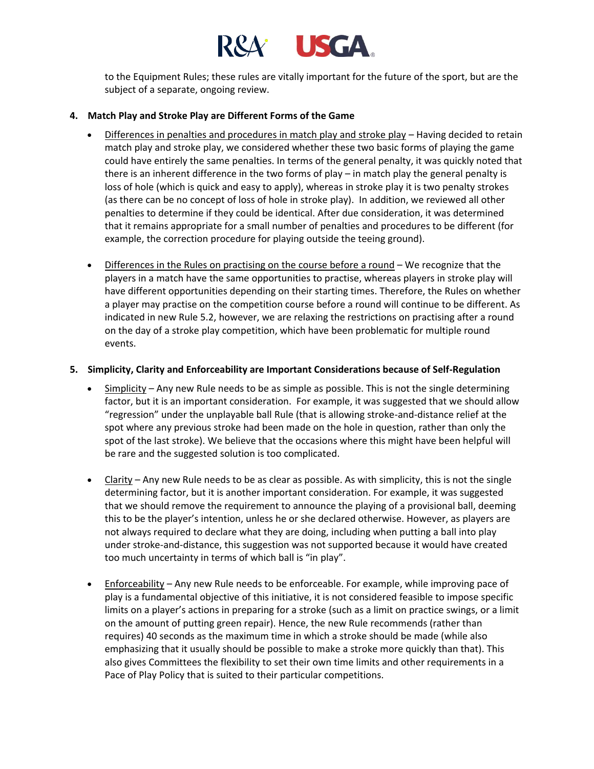

to the Equipment Rules; these rules are vitally important for the future of the sport, but are the subject of a separate, ongoing review.

### **4. Match Play and Stroke Play are Different Forms of the Game**

- Differences in penalties and procedures in match play and stroke play Having decided to retain match play and stroke play, we considered whether these two basic forms of playing the game could have entirely the same penalties. In terms of the general penalty, it was quickly noted that there is an inherent difference in the two forms of play – in match play the general penalty is loss of hole (which is quick and easy to apply), whereas in stroke play it is two penalty strokes (as there can be no concept of loss of hole in stroke play). In addition, we reviewed all other penalties to determine if they could be identical. After due consideration, it was determined that it remains appropriate for a small number of penalties and procedures to be different (for example, the correction procedure for playing outside the teeing ground).
- Differences in the Rules on practising on the course before a round We recognize that the players in a match have the same opportunities to practise, whereas players in stroke play will have different opportunities depending on their starting times. Therefore, the Rules on whether a player may practise on the competition course before a round will continue to be different. As indicated in new Rule 5.2, however, we are relaxing the restrictions on practising after a round on the day of a stroke play competition, which have been problematic for multiple round events.

# **5. Simplicity, Clarity and Enforceability are Important Considerations because of Self-Regulation**

- Simplicity Any new Rule needs to be as simple as possible. This is not the single determining factor, but it is an important consideration. For example, it was suggested that we should allow "regression" under the unplayable ball Rule (that is allowing stroke-and-distance relief at the spot where any previous stroke had been made on the hole in question, rather than only the spot of the last stroke). We believe that the occasions where this might have been helpful will be rare and the suggested solution is too complicated.
- Clarity Any new Rule needs to be as clear as possible. As with simplicity, this is not the single determining factor, but it is another important consideration. For example, it was suggested that we should remove the requirement to announce the playing of a provisional ball, deeming this to be the player's intention, unless he or she declared otherwise. However, as players are not always required to declare what they are doing, including when putting a ball into play under stroke-and-distance, this suggestion was not supported because it would have created too much uncertainty in terms of which ball is "in play".
- Enforceability Any new Rule needs to be enforceable. For example, while improving pace of play is a fundamental objective of this initiative, it is not considered feasible to impose specific limits on a player's actions in preparing for a stroke (such as a limit on practice swings, or a limit on the amount of putting green repair). Hence, the new Rule recommends (rather than requires) 40 seconds as the maximum time in which a stroke should be made (while also emphasizing that it usually should be possible to make a stroke more quickly than that). This also gives Committees the flexibility to set their own time limits and other requirements in a Pace of Play Policy that is suited to their particular competitions.